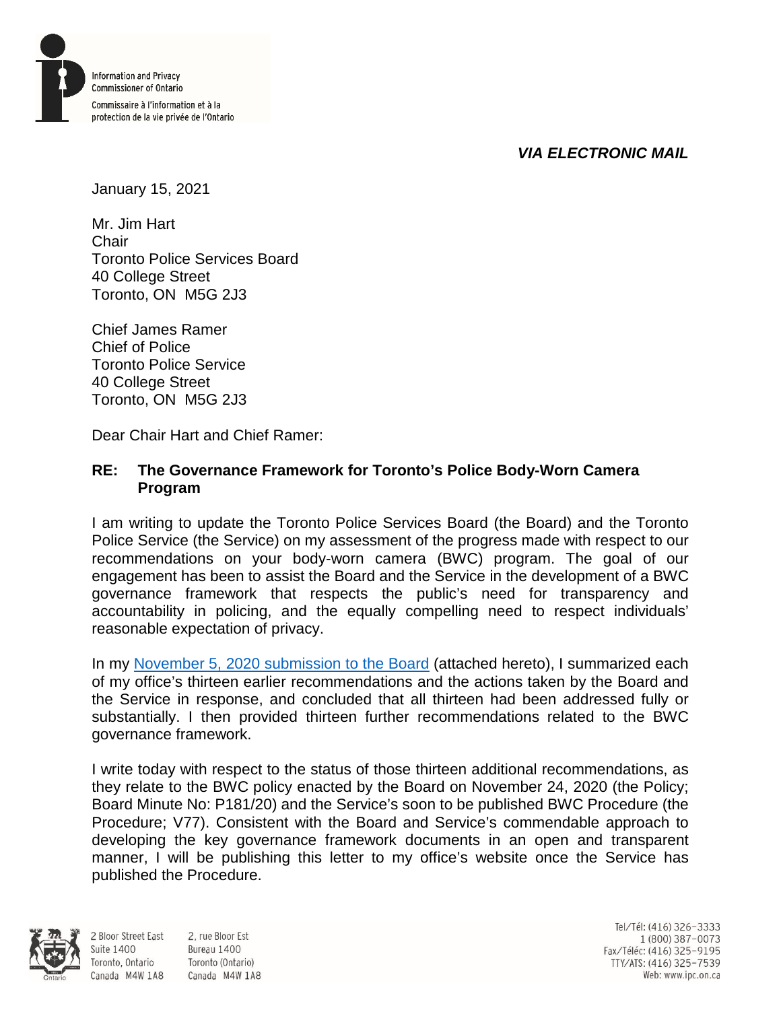

# *VIA ELECTRONIC MAIL*

January 15, 2021

Mr. Jim Hart Chair Toronto Police Services Board 40 College Street Toronto, ON M5G 2J3

Chief James Ramer Chief of Police Toronto Police Service 40 College Street Toronto, ON M5G 2J3

Dear Chair Hart and Chief Ramer:

## **RE: The Governance Framework for Toronto's Police Body-Worn Camera Program**

I am writing to update the Toronto Police Services Board (the Board) and the Toronto Police Service (the Service) on my assessment of the progress made with respect to our recommendations on your body-worn camera (BWC) program. The goal of our engagement has been to assist the Board and the Service in the development of a BWC governance framework that respects the public's need for transparency and accountability in policing, and the equally compelling need to respect individuals' reasonable expectation of privacy.

In my [November 5, 2020 submission to the Board](https://www.ipc.on.ca/wp-content/uploads/2020/11/2020-11-05-ltr-jim-hart-chair_tpsb-re-toronto-police-services-board-body-worn-camera-public-consultation.pdf) (attached hereto), I summarized each of my office's thirteen earlier recommendations and the actions taken by the Board and the Service in response, and concluded that all thirteen had been addressed fully or substantially. I then provided thirteen further recommendations related to the BWC governance framework.

I write today with respect to the status of those thirteen additional recommendations, as they relate to the BWC policy enacted by the Board on November 24, 2020 (the Policy; Board Minute No: P181/20) and the Service's soon to be published BWC Procedure (the Procedure; V77). Consistent with the Board and Service's commendable approach to developing the key governance framework documents in an open and transparent manner, I will be publishing this letter to my office's website once the Service has published the Procedure.



**Suite 1400** 

2 Bloor Street East 2, rue Bloor Est Bureau 1400 Toronto, Ontario Toronto (Ontario) Canada M4W 1A8 Canada M4W 1A8

Tel/Tél: (416) 326-3333 1 (800) 387-0073 Fax/Téléc: (416) 325-9195 TTY/ATS: (416) 325-7539<br>Web: www.ipc.on.ca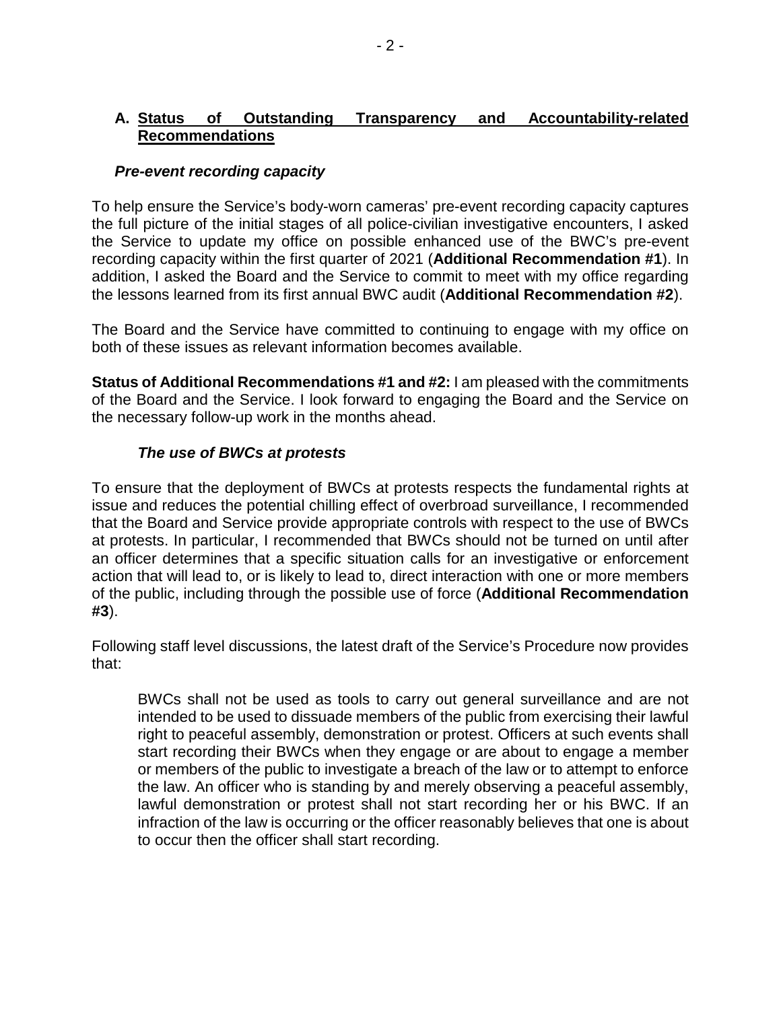## **A. Status of Outstanding Transparency and Accountability-related Recommendations**

## *Pre-event recording capacity*

To help ensure the Service's body-worn cameras' pre-event recording capacity captures the full picture of the initial stages of all police-civilian investigative encounters, I asked the Service to update my office on possible enhanced use of the BWC's pre-event recording capacity within the first quarter of 2021 (**Additional Recommendation #1**). In addition, I asked the Board and the Service to commit to meet with my office regarding the lessons learned from its first annual BWC audit (**Additional Recommendation #2**).

The Board and the Service have committed to continuing to engage with my office on both of these issues as relevant information becomes available.

**Status of Additional Recommendations #1 and #2:** I am pleased with the commitments of the Board and the Service. I look forward to engaging the Board and the Service on the necessary follow-up work in the months ahead.

#### *The use of BWCs at protests*

To ensure that the deployment of BWCs at protests respects the fundamental rights at issue and reduces the potential chilling effect of overbroad surveillance, I recommended that the Board and Service provide appropriate controls with respect to the use of BWCs at protests. In particular, I recommended that BWCs should not be turned on until after an officer determines that a specific situation calls for an investigative or enforcement action that will lead to, or is likely to lead to, direct interaction with one or more members of the public, including through the possible use of force (**Additional Recommendation #3**).

Following staff level discussions, the latest draft of the Service's Procedure now provides that:

BWCs shall not be used as tools to carry out general surveillance and are not intended to be used to dissuade members of the public from exercising their lawful right to peaceful assembly, demonstration or protest. Officers at such events shall start recording their BWCs when they engage or are about to engage a member or members of the public to investigate a breach of the law or to attempt to enforce the law. An officer who is standing by and merely observing a peaceful assembly, lawful demonstration or protest shall not start recording her or his BWC. If an infraction of the law is occurring or the officer reasonably believes that one is about to occur then the officer shall start recording.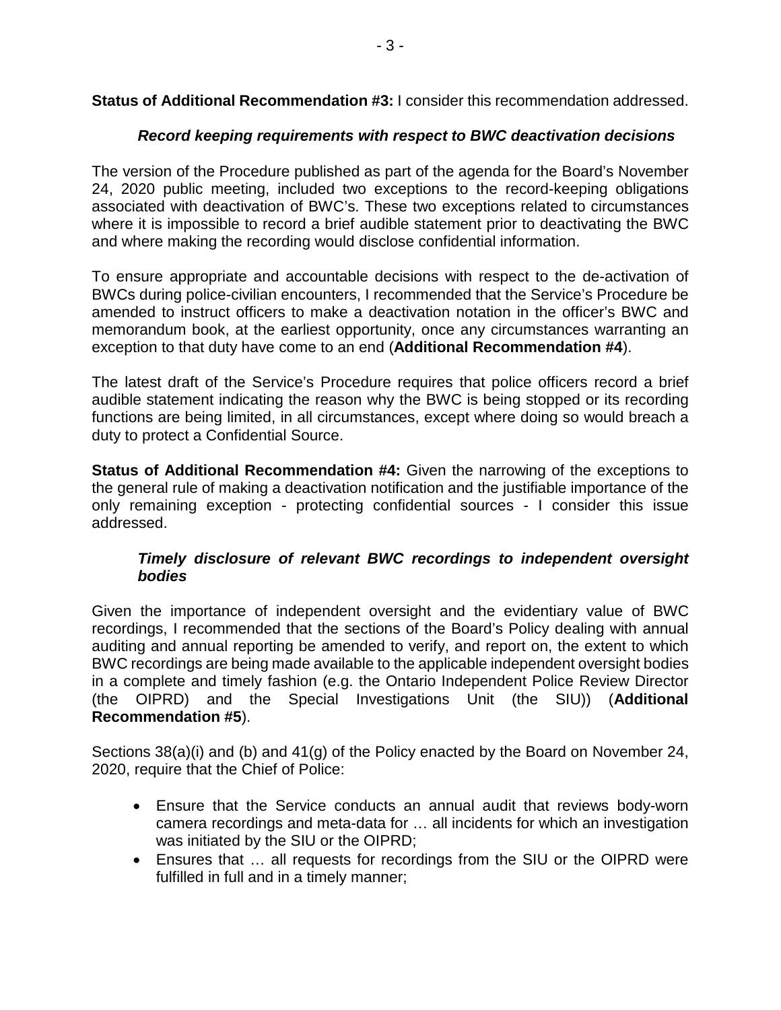**Status of Additional Recommendation #3:** I consider this recommendation addressed.

## *Record keeping requirements with respect to BWC deactivation decisions*

The version of the Procedure published as part of the agenda for the Board's November 24, 2020 public meeting, included two exceptions to the record-keeping obligations associated with deactivation of BWC's. These two exceptions related to circumstances where it is impossible to record a brief audible statement prior to deactivating the BWC and where making the recording would disclose confidential information.

To ensure appropriate and accountable decisions with respect to the de-activation of BWCs during police-civilian encounters, I recommended that the Service's Procedure be amended to instruct officers to make a deactivation notation in the officer's BWC and memorandum book, at the earliest opportunity, once any circumstances warranting an exception to that duty have come to an end (**Additional Recommendation #4**).

The latest draft of the Service's Procedure requires that police officers record a brief audible statement indicating the reason why the BWC is being stopped or its recording functions are being limited, in all circumstances, except where doing so would breach a duty to protect a Confidential Source.

**Status of Additional Recommendation #4:** Given the narrowing of the exceptions to the general rule of making a deactivation notification and the justifiable importance of the only remaining exception - protecting confidential sources - I consider this issue addressed.

#### *Timely disclosure of relevant BWC recordings to independent oversight bodies*

Given the importance of independent oversight and the evidentiary value of BWC recordings, I recommended that the sections of the Board's Policy dealing with annual auditing and annual reporting be amended to verify, and report on, the extent to which BWC recordings are being made available to the applicable independent oversight bodies in a complete and timely fashion (e.g. the Ontario Independent Police Review Director (the OIPRD) and the Special Investigations Unit (the SIU)) (**Additional Recommendation #5**).

Sections 38(a)(i) and (b) and 41(g) of the Policy enacted by the Board on November 24, 2020, require that the Chief of Police:

- Ensure that the Service conducts an annual audit that reviews body-worn camera recordings and meta-data for … all incidents for which an investigation was initiated by the SIU or the OIPRD;
- Ensures that … all requests for recordings from the SIU or the OIPRD were fulfilled in full and in a timely manner;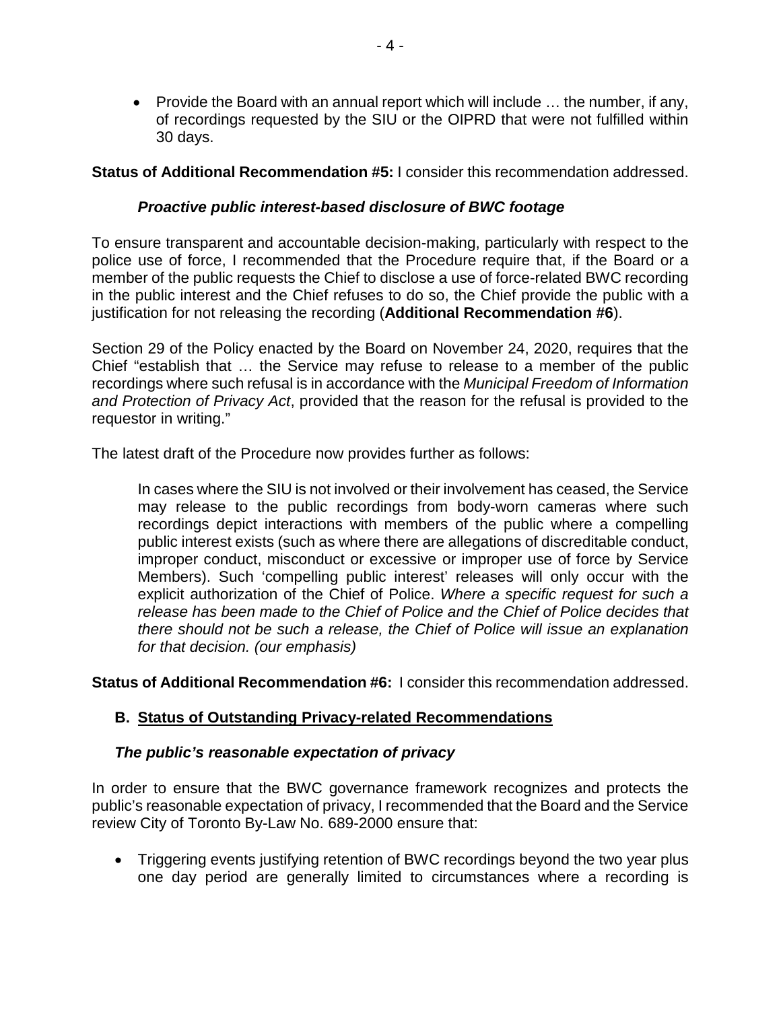• Provide the Board with an annual report which will include ... the number, if any, of recordings requested by the SIU or the OIPRD that were not fulfilled within 30 days.

**Status of Additional Recommendation #5:** I consider this recommendation addressed.

#### *Proactive public interest-based disclosure of BWC footage*

To ensure transparent and accountable decision-making, particularly with respect to the police use of force, I recommended that the Procedure require that, if the Board or a member of the public requests the Chief to disclose a use of force-related BWC recording in the public interest and the Chief refuses to do so, the Chief provide the public with a justification for not releasing the recording (**Additional Recommendation #6**).

Section 29 of the Policy enacted by the Board on November 24, 2020, requires that the Chief "establish that … the Service may refuse to release to a member of the public recordings where such refusal is in accordance with the *Municipal Freedom of Information and Protection of Privacy Act*, provided that the reason for the refusal is provided to the requestor in writing."

The latest draft of the Procedure now provides further as follows:

In cases where the SIU is not involved or their involvement has ceased, the Service may release to the public recordings from body-worn cameras where such recordings depict interactions with members of the public where a compelling public interest exists (such as where there are allegations of discreditable conduct, improper conduct, misconduct or excessive or improper use of force by Service Members). Such 'compelling public interest' releases will only occur with the explicit authorization of the Chief of Police. *Where a specific request for such a release has been made to the Chief of Police and the Chief of Police decides that there should not be such a release, the Chief of Police will issue an explanation for that decision. (our emphasis)*

**Status of Additional Recommendation #6:** I consider this recommendation addressed.

#### **B. Status of Outstanding Privacy-related Recommendations**

#### *The public's reasonable expectation of privacy*

In order to ensure that the BWC governance framework recognizes and protects the public's reasonable expectation of privacy, I recommended that the Board and the Service review City of Toronto By-Law No. 689-2000 ensure that:

• Triggering events justifying retention of BWC recordings beyond the two year plus one day period are generally limited to circumstances where a recording is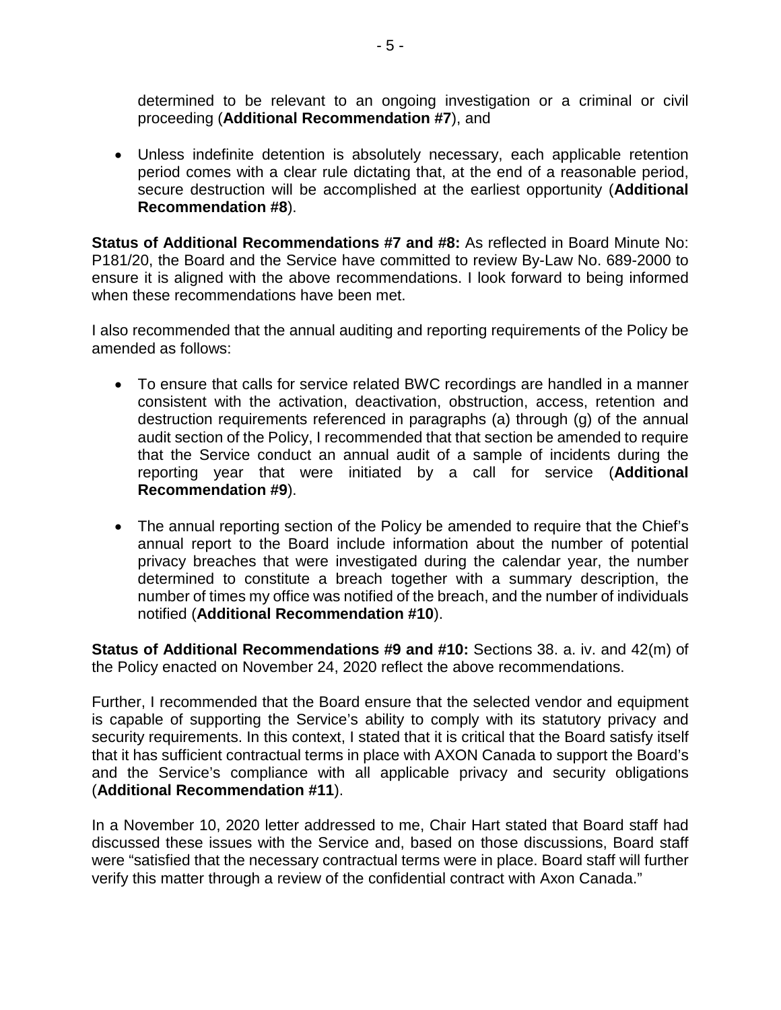determined to be relevant to an ongoing investigation or a criminal or civil proceeding (**Additional Recommendation #7**), and

• Unless indefinite detention is absolutely necessary, each applicable retention period comes with a clear rule dictating that, at the end of a reasonable period, secure destruction will be accomplished at the earliest opportunity (**Additional Recommendation #8**).

**Status of Additional Recommendations #7 and #8:** As reflected in Board Minute No: P181/20, the Board and the Service have committed to review By-Law No. 689-2000 to ensure it is aligned with the above recommendations. I look forward to being informed when these recommendations have been met.

I also recommended that the annual auditing and reporting requirements of the Policy be amended as follows:

- To ensure that calls for service related BWC recordings are handled in a manner consistent with the activation, deactivation, obstruction, access, retention and destruction requirements referenced in paragraphs (a) through (g) of the annual audit section of the Policy, I recommended that that section be amended to require that the Service conduct an annual audit of a sample of incidents during the reporting year that were initiated by a call for service (**Additional Recommendation #9**).
- The annual reporting section of the Policy be amended to require that the Chief's annual report to the Board include information about the number of potential privacy breaches that were investigated during the calendar year, the number determined to constitute a breach together with a summary description, the number of times my office was notified of the breach, and the number of individuals notified (**Additional Recommendation #10**).

**Status of Additional Recommendations #9 and #10:** Sections 38. a. iv. and 42(m) of the Policy enacted on November 24, 2020 reflect the above recommendations.

Further, I recommended that the Board ensure that the selected vendor and equipment is capable of supporting the Service's ability to comply with its statutory privacy and security requirements. In this context, I stated that it is critical that the Board satisfy itself that it has sufficient contractual terms in place with AXON Canada to support the Board's and the Service's compliance with all applicable privacy and security obligations (**Additional Recommendation #11**).

In a November 10, 2020 letter addressed to me, Chair Hart stated that Board staff had discussed these issues with the Service and, based on those discussions, Board staff were "satisfied that the necessary contractual terms were in place. Board staff will further verify this matter through a review of the confidential contract with Axon Canada."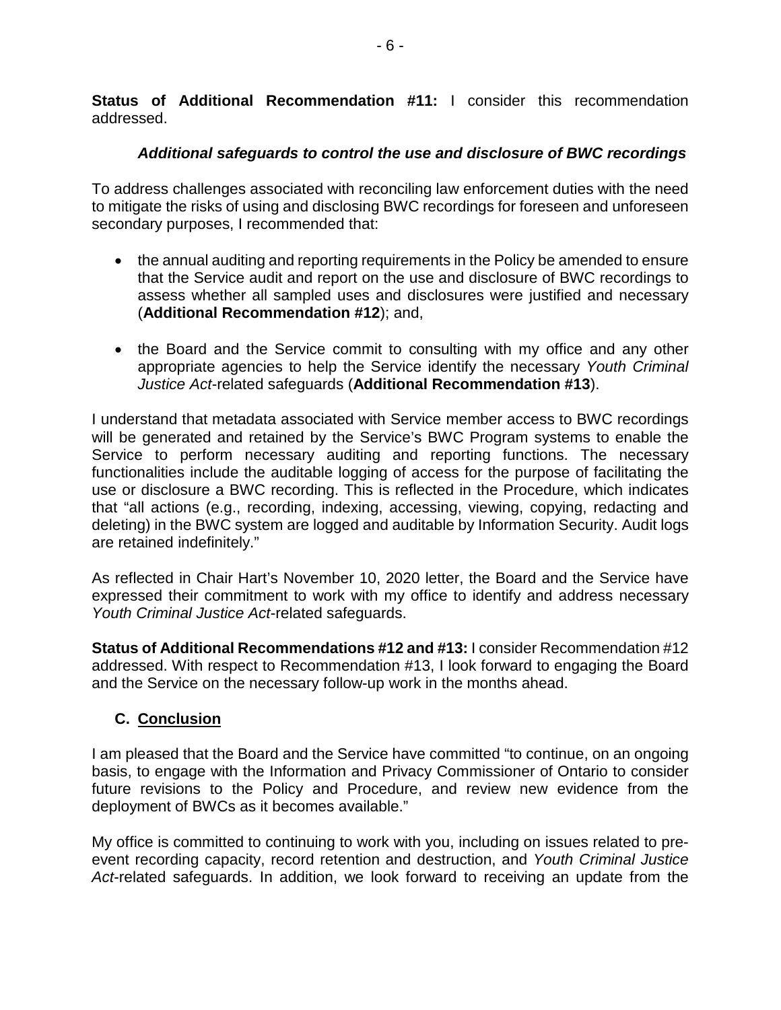**Status of Additional Recommendation #11:** I consider this recommendation addressed.

# *Additional safeguards to control the use and disclosure of BWC recordings*

To address challenges associated with reconciling law enforcement duties with the need to mitigate the risks of using and disclosing BWC recordings for foreseen and unforeseen secondary purposes, I recommended that:

- the annual auditing and reporting requirements in the Policy be amended to ensure that the Service audit and report on the use and disclosure of BWC recordings to assess whether all sampled uses and disclosures were justified and necessary (**Additional Recommendation #12**); and,
- the Board and the Service commit to consulting with my office and any other appropriate agencies to help the Service identify the necessary *Youth Criminal Justice Act*-related safeguards (**Additional Recommendation #13**).

I understand that metadata associated with Service member access to BWC recordings will be generated and retained by the Service's BWC Program systems to enable the Service to perform necessary auditing and reporting functions. The necessary functionalities include the auditable logging of access for the purpose of facilitating the use or disclosure a BWC recording. This is reflected in the Procedure, which indicates that "all actions (e.g., recording, indexing, accessing, viewing, copying, redacting and deleting) in the BWC system are logged and auditable by Information Security. Audit logs are retained indefinitely."

As reflected in Chair Hart's November 10, 2020 letter, the Board and the Service have expressed their commitment to work with my office to identify and address necessary *Youth Criminal Justice Act*-related safeguards.

**Status of Additional Recommendations #12 and #13:** I consider Recommendation #12 addressed. With respect to Recommendation #13, I look forward to engaging the Board and the Service on the necessary follow-up work in the months ahead.

# **C. Conclusion**

I am pleased that the Board and the Service have committed "to continue, on an ongoing basis, to engage with the Information and Privacy Commissioner of Ontario to consider future revisions to the Policy and Procedure, and review new evidence from the deployment of BWCs as it becomes available."

My office is committed to continuing to work with you, including on issues related to preevent recording capacity, record retention and destruction, and *Youth Criminal Justice Act*-related safeguards. In addition, we look forward to receiving an update from the